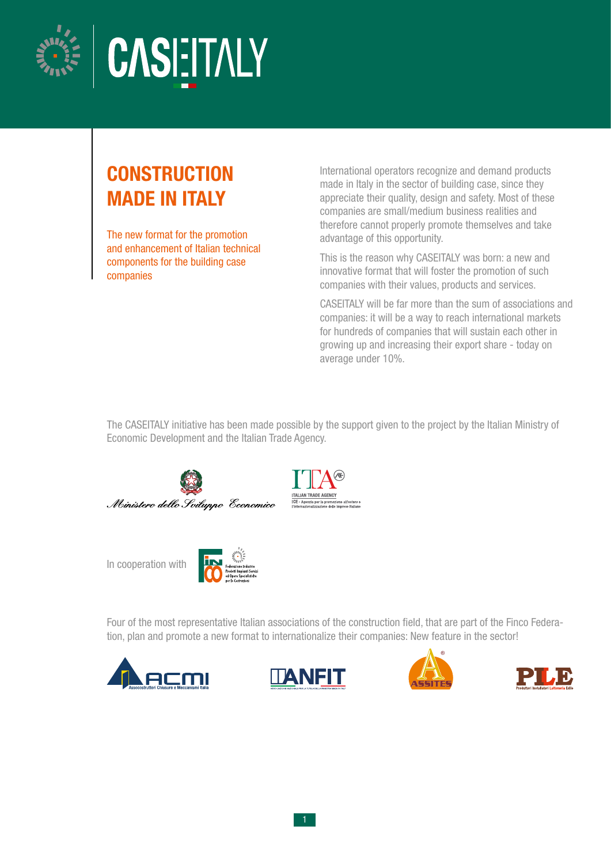



# **CONSTRUCTION** MADE IN ITALY

The new format for the promotion and enhancement of Italian technical components for the building case companies

International operators recognize and demand products made in Italy in the sector of building case, since they appreciate their quality, design and safety. Most of these companies are small/medium business realities and therefore cannot properly promote themselves and take advantage of this opportunity.

This is the reason why CASEITALY was born: a new and innovative format that will foster the promotion of such companies with their values, products and services.

CASEITALY will be far more than the sum of associations and companies: it will be a way to reach international markets for hundreds of companies that will sustain each other in growing up and increasing their export share - today on average under 10%.

The CASEITALY initiative has been made possible by the support given to the project by the Italian Ministry of Economic Development and the Italian Trade Agency.



In cooperation with



Four of the most representative Italian associations of the construction field, that are part of the Finco Federation, plan and promote a new format to internationalize their companies: New feature in the sector!







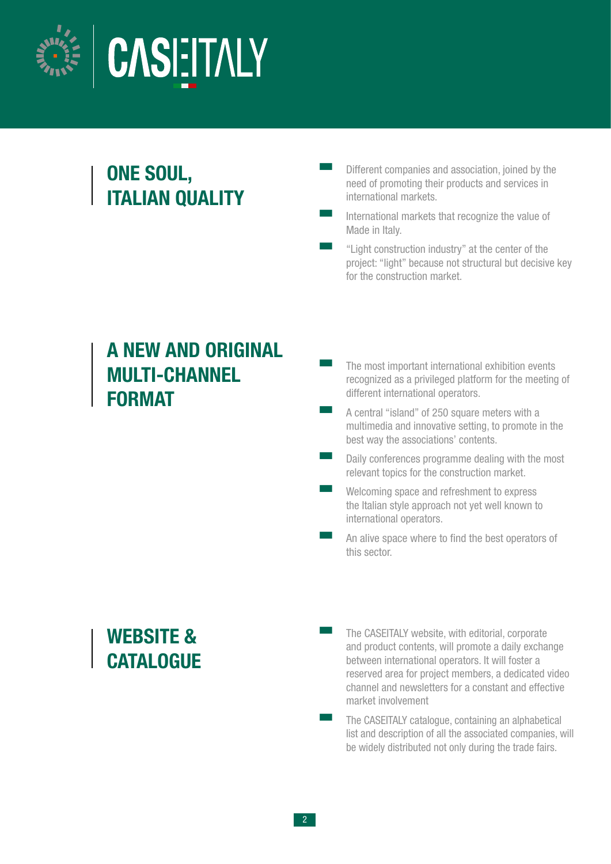

## ONE SOUL, ITALIAN QUALITY

- Different companies and association, joined by the need of promoting their products and services in international markets.
- International markets that recognize the value of Made in Italy.

"Light construction industry" at the center of the project: "light" because not structural but decisive key for the construction market.

#### A NEW AND ORIGINAL MULTI-CHANNEL FORMAT

- The most important international exhibition events recognized as a privileged platform for the meeting of different international operators.
- A central "island" of 250 square meters with a multimedia and innovative setting, to promote in the best way the associations' contents.
- **EXECUTE:** Daily conferences programme dealing with the most relevant topics for the construction market.
	- Welcoming space and refreshment to express the Italian style approach not yet well known to international operators.
	- An alive space where to find the best operators of this sector.

WEBSITE & **CATALOGUE**  The CASEITALY website, with editorial, corporate and product contents, will promote a daily exchange between international operators. It will foster a reserved area for project members, a dedicated video channel and newsletters for a constant and effective market involvement

The CASEITALY catalogue, containing an alphabetical list and description of all the associated companies, will be widely distributed not only during the trade fairs.